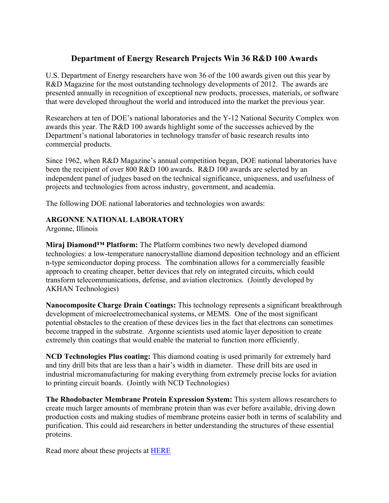# **Department of Energy Research Projects Win 36 R&D 100 Awards**

U.S. Department of Energy researchers have won 36 of the 100 awards given out this year by R&D Magazine for the most outstanding technology developments of 2012. The awards are presented annually in recognition of exceptional new products, processes, materials, or software that were developed throughout the world and introduced into the market the previous year.

Researchers at ten of DOE's national laboratories and the Y-12 National Security Complex won awards this year. The R&D 100 awards highlight some of the successes achieved by the Department's national laboratories in technology transfer of basic research results into commercial products.

Since 1962, when R&D Magazine's annual competition began, DOE national laboratories have been the recipient of over 800 R&D 100 awards. R&D 100 awards are selected by an independent panel of judges based on the technical significance, uniqueness, and usefulness of projects and technologies from across industry, government, and academia.

The following DOE national laboratories and technologies won awards:

## **ARGONNE NATIONAL LABORATORY**

Argonne, Illinois

**Miraj Diamond™ Platform:** The Platform combines two newly developed diamond technologies: a low-temperature nanocrystalline diamond deposition technology and an efficient n-type semiconductor doping process. The combination allows for a commercially feasible approach to creating cheaper, better devices that rely on integrated circuits, which could transform telecommunications, defense, and aviation electronics. (Jointly developed by AKHAN Technologies)

**Nanocomposite Charge Drain Coatings:** This technology represents a significant breakthrough development of microelectromechanical systems, or MEMS. One of the most significant potential obstacles to the creation of these devices lies in the fact that electrons can sometimes become trapped in the substrate. Argonne scientists used atomic layer deposition to create extremely thin coatings that would enable the material to function more efficiently.

**NCD Technologies Plus coating:** This diamond coating is used primarily for extremely hard and tiny drill bits that are less than a hair's width in diameter. These drill bits are used in industrial micromanufacturing for making everything from extremely precise locks for aviation to printing circuit boards. (Jointly with NCD Technologies)

**The Rhodobacter Membrane Protein Expression System:** This system allows researchers to create much larger amounts of membrane protein than was ever before available, driving down production costs and making studies of membrane proteins easier both in terms of scalability and purification. This could aid researchers in better understanding the structures of these essential proteins.

Read more about these projects at HERE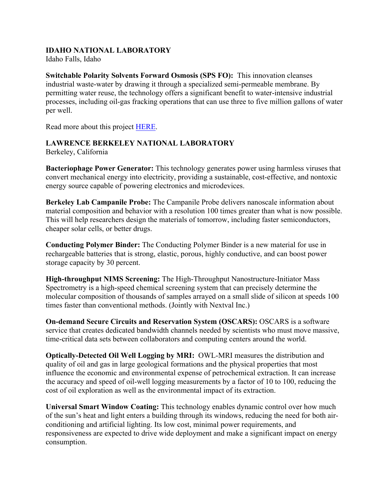### **IDAHO NATIONAL LABORATORY**

Idaho Falls, Idaho

**Switchable Polarity Solvents Forward Osmosis (SPS FO):** This innovation cleanses industrial waste-water by drawing it through a specialized semi-permeable membrane. By permitting water reuse, the technology offers a significant benefit to water-intensive industrial processes, including oil-gas fracking operations that can use three to five million gallons of water per well.

Read more about this project HERE.

### **LAWRENCE BERKELEY NATIONAL LABORATORY**

Berkeley, California

**Bacteriophage Power Generator:** This technology generates power using harmless viruses that convert mechanical energy into electricity, providing a sustainable, cost-effective, and nontoxic energy source capable of powering electronics and microdevices.

**Berkeley Lab Campanile Probe:** The Campanile Probe delivers nanoscale information about material composition and behavior with a resolution 100 times greater than what is now possible. This will help researchers design the materials of tomorrow, including faster semiconductors, cheaper solar cells, or better drugs.

**Conducting Polymer Binder:** The Conducting Polymer Binder is a new material for use in rechargeable batteries that is strong, elastic, porous, highly conductive, and can boost power storage capacity by 30 percent.

**High-throughput NIMS Screening:** The High-Throughput Nanostructure-Initiator Mass Spectrometry is a high-speed chemical screening system that can precisely determine the molecular composition of thousands of samples arrayed on a small slide of silicon at speeds 100 times faster than conventional methods. (Jointly with Nextval Inc.)

**On-demand Secure Circuits and Reservation System (OSCARS):** OSCARS is a software service that creates dedicated bandwidth channels needed by scientists who must move massive, time-critical data sets between collaborators and computing centers around the world.

**Optically-Detected Oil Well Logging by MRI:** OWL-MRI measures the distribution and quality of oil and gas in large geological formations and the physical properties that most influence the economic and environmental expense of petrochemical extraction. It can increase the accuracy and speed of oil-well logging measurements by a factor of 10 to 100, reducing the cost of oil exploration as well as the environmental impact of its extraction.

**Universal Smart Window Coating:** This technology enables dynamic control over how much of the sun's heat and light enters a building through its windows, reducing the need for both airconditioning and artificial lighting. Its low cost, minimal power requirements, and responsiveness are expected to drive wide deployment and make a significant impact on energy consumption.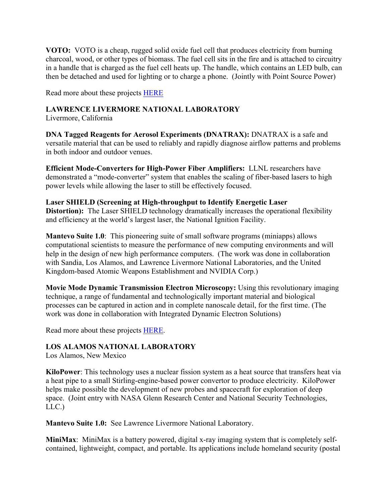**VOTO:** VOTO is a cheap, rugged solid oxide fuel cell that produces electricity from burning charcoal, wood, or other types of biomass. The fuel cell sits in the fire and is attached to circuitry in a handle that is charged as the fuel cell heats up. The handle, which contains an LED bulb, can then be detached and used for lighting or to charge a phone. (Jointly with Point Source Power)

Read more about these projects HERE

### **LAWRENCE LIVERMORE NATIONAL LABORATORY**

Livermore, California

**DNA Tagged Reagents for Aerosol Experiments (DNATRAX):** DNATRAX is a safe and versatile material that can be used to reliably and rapidly diagnose airflow patterns and problems in both indoor and outdoor venues.

**Efficient Mode-Converters for High-Power Fiber Amplifiers:** LLNL researchers have demonstrated a "mode-converter" system that enables the scaling of fiber-based lasers to high power levels while allowing the laser to still be effectively focused.

**Laser SHIELD (Screening at High-throughput to Identify Energetic Laser Distortion):** The Laser SHIELD technology dramatically increases the operational flexibility and efficiency at the world's largest laser, the National Ignition Facility.

**Mantevo Suite 1.0**: This pioneering suite of small software programs (miniapps) allows computational scientists to measure the performance of new computing environments and will help in the design of new high performance computers. (The work was done in collaboration with Sandia, Los Alamos, and Lawrence Livermore National Laboratories, and the United Kingdom-based Atomic Weapons Establishment and NVIDIA Corp.)

**Movie Mode Dynamic Transmission Electron Microscopy:** Using this revolutionary imaging technique, a range of fundamental and technologically important material and biological processes can be captured in action and in complete nanoscale detail, for the first time. (The work was done in collaboration with Integrated Dynamic Electron Solutions)

Read more about these projects HERE.

### **LOS ALAMOS NATIONAL LABORATORY**

Los Alamos, New Mexico

**KiloPower**: This technology uses a nuclear fission system as a heat source that transfers heat via a heat pipe to a small Stirling-engine-based power convertor to produce electricity. KiloPower helps make possible the development of new probes and spacecraft for exploration of deep space. (Joint entry with NASA Glenn Research Center and National Security Technologies, LLC.)

**Mantevo Suite 1.0:** See Lawrence Livermore National Laboratory.

**MiniMax**: MiniMax is a battery powered, digital x-ray imaging system that is completely selfcontained, lightweight, compact, and portable. Its applications include homeland security (postal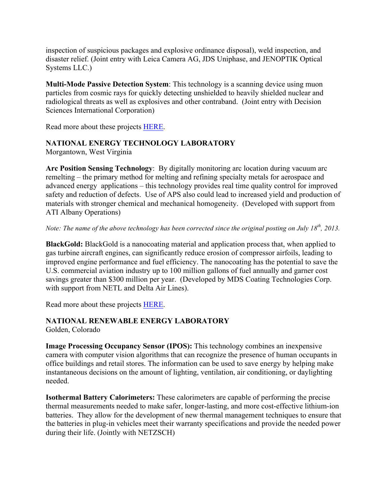inspection of suspicious packages and explosive ordinance disposal), weld inspection, and disaster relief. (Joint entry with Leica Camera AG, JDS Uniphase, and JENOPTIK Optical Systems LLC.)

**Multi-Mode Passive Detection System**: This technology is a scanning device using muon particles from cosmic rays for quickly detecting unshielded to heavily shielded nuclear and radiological threats as well as explosives and other contraband. (Joint entry with Decision Sciences International Corporation)

Read more about these projects HERE.

## **NATIONAL ENERGY TECHNOLOGY LABORATORY**

Morgantown, West Virginia

**Arc Position Sensing Technology**: By digitally monitoring arc location during vacuum arc remelting – the primary method for melting and refining specialty metals for aerospace and advanced energy applications – this technology provides real time quality control for improved safety and reduction of defects. Use of APS also could lead to increased yield and production of materials with stronger chemical and mechanical homogeneity. (Developed with support from ATI Albany Operations)

*Note: The name of the above technology has been corrected since the original posting on July 18th, 2013.*

**BlackGold:** BlackGold is a nanocoating material and application process that, when applied to gas turbine aircraft engines, can significantly reduce erosion of compressor airfoils, leading to improved engine performance and fuel efficiency. The nanocoating has the potential to save the U.S. commercial aviation industry up to 100 million gallons of fuel annually and garner cost savings greater than \$300 million per year. (Developed by MDS Coating Technologies Corp. with support from NETL and Delta Air Lines).

Read more about these projects HERE.

### **NATIONAL RENEWABLE ENERGY LABORATORY**

Golden, Colorado

**Image Processing Occupancy Sensor (IPOS):** This technology combines an inexpensive camera with computer vision algorithms that can recognize the presence of human occupants in office buildings and retail stores. The information can be used to save energy by helping make instantaneous decisions on the amount of lighting, ventilation, air conditioning, or daylighting needed.

**Isothermal Battery Calorimeters:** These calorimeters are capable of performing the precise thermal measurements needed to make safer, longer-lasting, and more cost-effective lithium-ion batteries. They allow for the development of new thermal management techniques to ensure that the batteries in plug-in vehicles meet their warranty specifications and provide the needed power during their life. (Jointly with NETZSCH)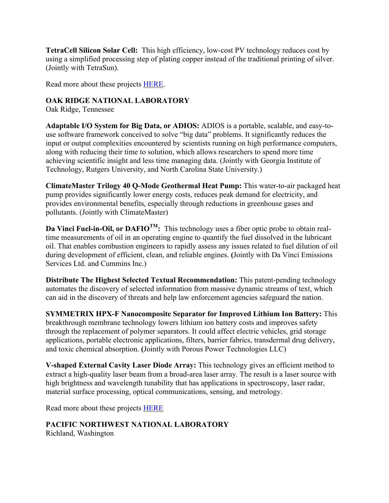**TetraCell Silicon Solar Cell:** This high efficiency, low-cost PV technology reduces cost by using a simplified processing step of plating copper instead of the traditional printing of silver. (Jointly with TetraSun).

Read more about these projects HERE.

### **OAK RIDGE NATIONAL LABORATORY**

Oak Ridge, Tennessee

**Adaptable I/O System for Big Data, or ADIOS:** ADIOS is a portable, scalable, and easy-touse software framework conceived to solve "big data" problems. It significantly reduces the input or output complexities encountered by scientists running on high performance computers, along with reducing their time to solution, which allows researchers to spend more time achieving scientific insight and less time managing data. (Jointly with Georgia Institute of Technology, Rutgers University, and North Carolina State University.)

**ClimateMaster Trilogy 40 Q-Mode Geothermal Heat Pump:** This water-to-air packaged heat pump provides significantly lower energy costs, reduces peak demand for electricity, and provides environmental benefits, especially through reductions in greenhouse gases and pollutants. (Jointly with ClimateMaster)

**Da Vinci Fuel-in-Oil, or DAFIO<sup>TM</sup>:** This technology uses a fiber optic probe to obtain realtime measurements of oil in an operating engine to quantify the fuel dissolved in the lubricant oil. That enables combustion engineers to rapidly assess any issues related to fuel dilution of oil during development of efficient, clean, and reliable engines. **(**Jointly with Da Vinci Emissions Services Ltd. and Cummins Inc.)

**Distribute The Highest Selected Textual Recommendation:** This patent-pending technology automates the discovery of selected information from massive dynamic streams of text, which can aid in the discovery of threats and help law enforcement agencies safeguard the nation.

**SYMMETRIX HPX-F Nanocomposite Separator for Improved Lithium Ion Battery:** This breakthrough membrane technology lowers lithium ion battery costs and improves safety through the replacement of polymer separators. It could affect electric vehicles, grid storage applications, portable electronic applications, filters, barrier fabrics, transdermal drug delivery, and toxic chemical absorption. **(**Jointly with Porous Power Technologies LLC)

**V-shaped External Cavity Laser Diode Array:** This technology gives an efficient method to extract a high-quality laser beam from a broad-area laser array. The result is a laser source with high brightness and wavelength tunability that has applications in spectroscopy, laser radar, material surface processing, optical communications, sensing, and metrology.

Read more about these projects HERE

**PACIFIC NORTHWEST NATIONAL LABORATORY** Richland, Washington